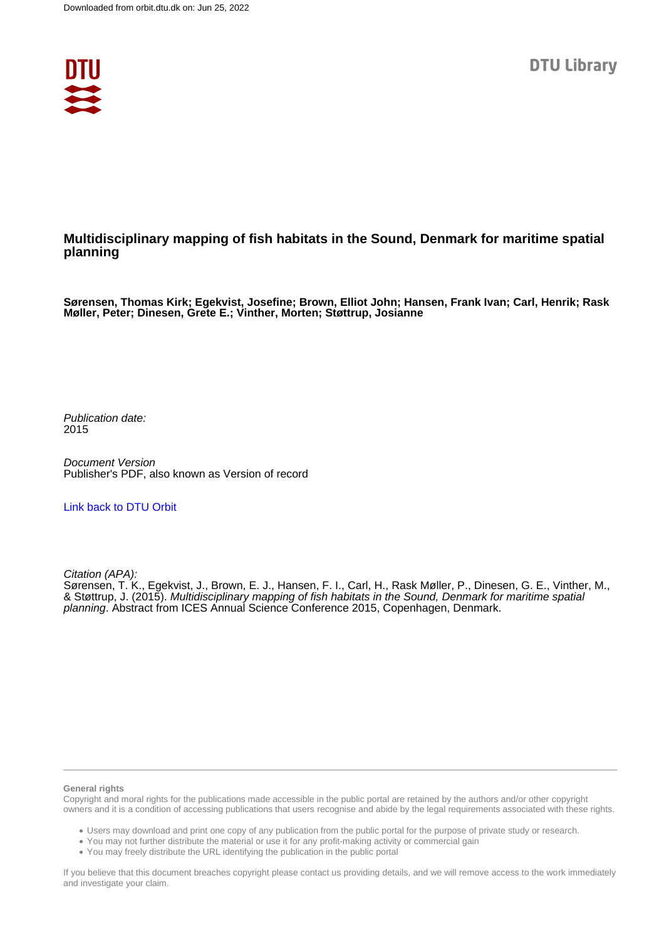

## **Multidisciplinary mapping of fish habitats in the Sound, Denmark for maritime spatial planning**

**Sørensen, Thomas Kirk; Egekvist, Josefine; Brown, Elliot John; Hansen, Frank Ivan; Carl, Henrik; Rask Møller, Peter; Dinesen, Grete E.; Vinther, Morten; Støttrup, Josianne**

Publication date: 2015

Document Version Publisher's PDF, also known as Version of record

[Link back to DTU Orbit](https://orbit.dtu.dk/en/publications/3f84169b-193c-419c-befa-defb80483cf6)

Citation (APA):

Sørensen, T. K., Egekvist, J., Brown, E. J., Hansen, F. I., Carl, H., Rask Møller, P., Dinesen, G. E., Vinther, M., & Støttrup, J. (2015). Multidisciplinary mapping of fish habitats in the Sound, Denmark for maritime spatial planning. Abstract from ICES Annual Science Conference 2015, Copenhagen, Denmark.

#### **General rights**

Copyright and moral rights for the publications made accessible in the public portal are retained by the authors and/or other copyright owners and it is a condition of accessing publications that users recognise and abide by the legal requirements associated with these rights.

Users may download and print one copy of any publication from the public portal for the purpose of private study or research.

- You may not further distribute the material or use it for any profit-making activity or commercial gain
- You may freely distribute the URL identifying the publication in the public portal

If you believe that this document breaches copyright please contact us providing details, and we will remove access to the work immediately and investigate your claim.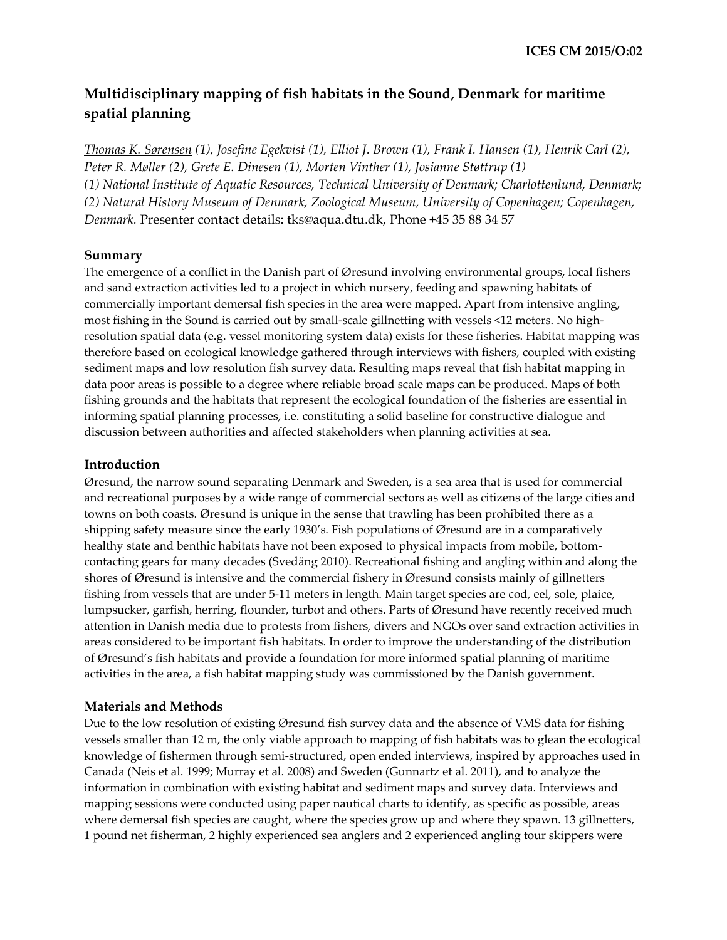# **Multidisciplinary mapping of fish habitats in the Sound, Denmark for maritime spatial planning**

*Thomas K. Sørensen (1), Josefine Egekvist (1), Elliot J. Brown (1), Frank I. Hansen (1), Henrik Carl (2), Peter R. Møller (2), Grete E. Dinesen (1), Morten Vinther (1), Josianne Støttrup (1) (1) National Institute of Aquatic Resources, Technical University of Denmark; Charlottenlund, Denmark; (2) Natural History Museum of Denmark, Zoological Museum, University of Copenhagen; Copenhagen, Denmark.* Presenter contact details: tks@aqua.dtu.dk, Phone +45 35 88 34 57

#### **Summary**

The emergence of a conflict in the Danish part of Øresund involving environmental groups, local fishers and sand extraction activities led to a project in which nursery, feeding and spawning habitats of commercially important demersal fish species in the area were mapped. Apart from intensive angling, most fishing in the Sound is carried out by small-scale gillnetting with vessels <12 meters. No highresolution spatial data (e.g. vessel monitoring system data) exists for these fisheries. Habitat mapping was therefore based on ecological knowledge gathered through interviews with fishers, coupled with existing sediment maps and low resolution fish survey data. Resulting maps reveal that fish habitat mapping in data poor areas is possible to a degree where reliable broad scale maps can be produced. Maps of both fishing grounds and the habitats that represent the ecological foundation of the fisheries are essential in informing spatial planning processes, i.e. constituting a solid baseline for constructive dialogue and discussion between authorities and affected stakeholders when planning activities at sea.

#### **Introduction**

Øresund, the narrow sound separating Denmark and Sweden, is a sea area that is used for commercial and recreational purposes by a wide range of commercial sectors as well as citizens of the large cities and towns on both coasts. Øresund is unique in the sense that trawling has been prohibited there as a shipping safety measure since the early 1930's. Fish populations of Øresund are in a comparatively healthy state and benthic habitats have not been exposed to physical impacts from mobile, bottomcontacting gears for many decades (Svedäng 2010). Recreational fishing and angling within and along the shores of Øresund is intensive and the commercial fishery in Øresund consists mainly of gillnetters fishing from vessels that are under 5-11 meters in length. Main target species are cod, eel, sole, plaice, lumpsucker, garfish, herring, flounder, turbot and others. Parts of Øresund have recently received much attention in Danish media due to protests from fishers, divers and NGOs over sand extraction activities in areas considered to be important fish habitats. In order to improve the understanding of the distribution of Øresund's fish habitats and provide a foundation for more informed spatial planning of maritime activities in the area, a fish habitat mapping study was commissioned by the Danish government.

### **Materials and Methods**

Due to the low resolution of existing Øresund fish survey data and the absence of VMS data for fishing vessels smaller than 12 m, the only viable approach to mapping of fish habitats was to glean the ecological knowledge of fishermen through semi-structured, open ended interviews, inspired by approaches used in Canada (Neis et al. 1999; Murray et al. 2008) and Sweden (Gunnartz et al. 2011), and to analyze the information in combination with existing habitat and sediment maps and survey data. Interviews and mapping sessions were conducted using paper nautical charts to identify, as specific as possible, areas where demersal fish species are caught, where the species grow up and where they spawn. 13 gillnetters, 1 pound net fisherman, 2 highly experienced sea anglers and 2 experienced angling tour skippers were